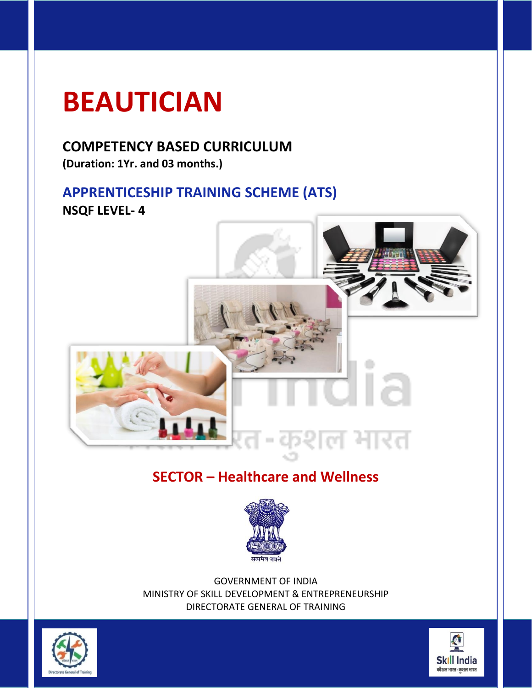## **BEAUTICIAN**

### **COMPETENCY BASED CURRICULUM**

**(Duration: 1Yr. and 03 months.)**

### **APPRENTICESHIP TRAINING SCHEME (ATS) NSQF LEVEL- 4**



### **SECTOR – Healthcare and Wellness**



GOVERNMENT OF INDIA MINISTRY OF SKILL DEVELOPMENT & ENTREPRENEURSHIP DIRECTORATE GENERAL OF TRAINING



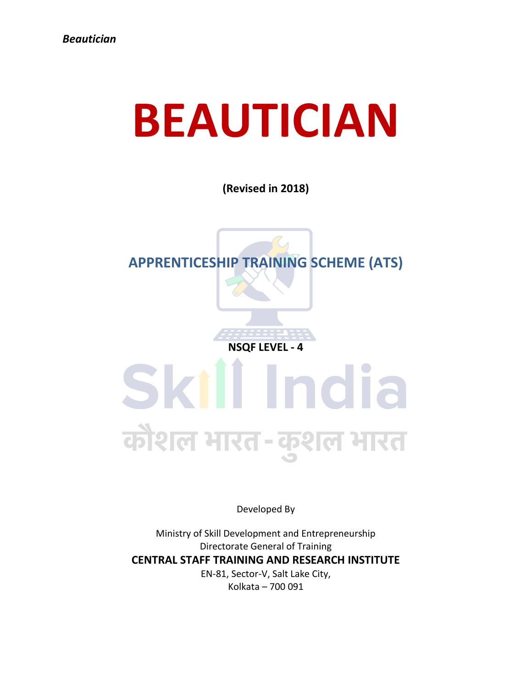# **BEAUTICIAN**

**(Revised in 2018)**



**NSQF LEVEL - 4**

# Skill India कौशल भारत-कुशल भारत

Developed By

Ministry of Skill Development and Entrepreneurship Directorate General of Training **CENTRAL STAFF TRAINING AND RESEARCH INSTITUTE** EN-81, Sector-V, Salt Lake City, Kolkata – 700 091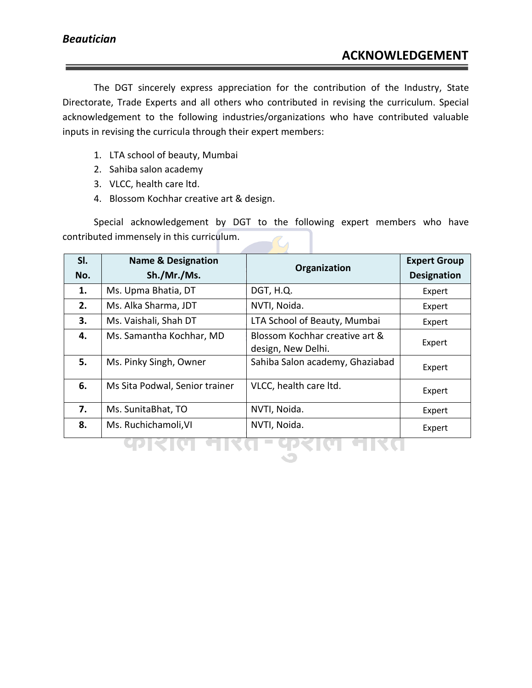The DGT sincerely express appreciation for the contribution of the Industry, State Directorate, Trade Experts and all others who contributed in revising the curriculum. Special acknowledgement to the following industries/organizations who have contributed valuable inputs in revising the curricula through their expert members:

- 1. LTA school of beauty, Mumbai
- 2. Sahiba salon academy
- 3. VLCC, health care ltd.
- 4. Blossom Kochhar creative art & design.

Special acknowledgement by DGT to the following expert members who have contributed immensely in this curriculum.

| SI. | <b>Name &amp; Designation</b>  | Organization                                         | <b>Expert Group</b> |
|-----|--------------------------------|------------------------------------------------------|---------------------|
| No. | Sh./Mr./Ms.                    |                                                      | <b>Designation</b>  |
| 1.  | Ms. Upma Bhatia, DT            | DGT, H.Q.                                            | Expert              |
| 2.  | Ms. Alka Sharma, JDT           | NVTI, Noida.                                         | Expert              |
| 3.  | Ms. Vaishali, Shah DT          | LTA School of Beauty, Mumbai                         | Expert              |
| 4.  | Ms. Samantha Kochhar, MD       | Blossom Kochhar creative art &<br>design, New Delhi. | Expert              |
| 5.  | Ms. Pinky Singh, Owner         | Sahiba Salon academy, Ghaziabad                      | Expert              |
| 6.  | Ms Sita Podwal, Senior trainer | VLCC, health care ltd.                               | Expert              |
| 7.  | Ms. SunitaBhat, TO             | NVTI, Noida.                                         | Expert              |
| 8.  | Ms. Ruchichamoli, VI           | NVTI, Noida.                                         | Expert              |
|     |                                |                                                      |                     |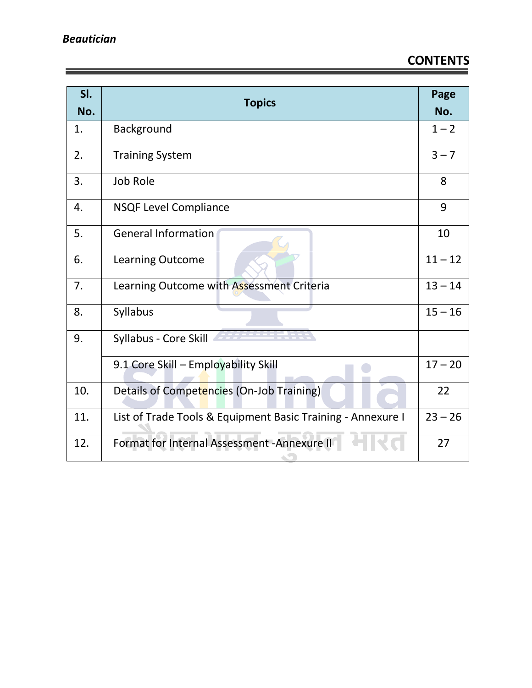亖

### **CONTENTS**

| SI.<br>No. | <b>Topics</b>                                               | Page<br>No. |
|------------|-------------------------------------------------------------|-------------|
| 1.         | Background                                                  | $1 - 2$     |
| 2.         | <b>Training System</b>                                      | $3 - 7$     |
| 3.         | <b>Job Role</b>                                             | 8           |
| 4.         | <b>NSQF Level Compliance</b>                                | 9           |
| 5.         | <b>General Information</b>                                  | 10          |
| 6.         | Learning Outcome                                            | $11 - 12$   |
| 7.         | Learning Outcome with Assessment Criteria                   |             |
| 8.         | Syllabus                                                    | $15 - 16$   |
| 9.         | Syllabus - Core Skill                                       |             |
|            | 9.1 Core Skill - Employability Skill                        | $17 - 20$   |
| 10.        | 22<br>Details of Competencies (On-Job Training)             |             |
| 11.        | List of Trade Tools & Equipment Basic Training - Annexure I | $23 - 26$   |
| 12.        | Format for Internal Assessment - Annexure II                | 27          |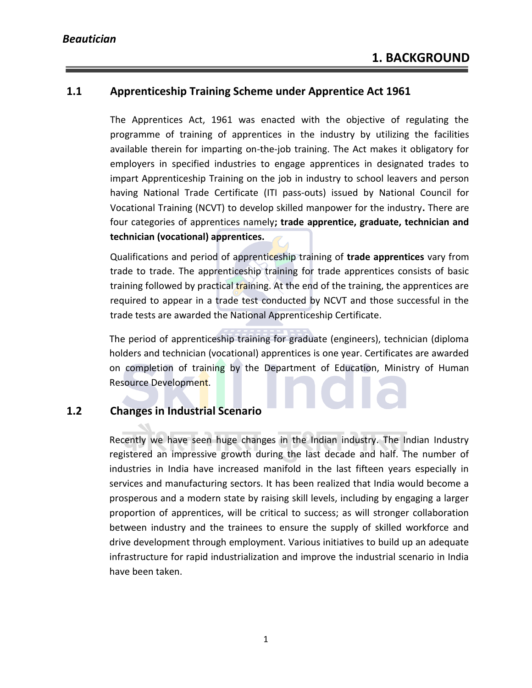#### **1.1 Apprenticeship Training Scheme under Apprentice Act 1961**

The Apprentices Act, 1961 was enacted with the objective of regulating the programme of training of apprentices in the industry by utilizing the facilities available therein for imparting on-the-job training. The Act makes it obligatory for employers in specified industries to engage apprentices in designated trades to impart Apprenticeship Training on the job in industry to school leavers and person having National Trade Certificate (ITI pass-outs) issued by National Council for Vocational Training (NCVT) to develop skilled manpower for the industry**.** There are four categories of apprentices namely**; trade apprentice, graduate, technician and technician (vocational) apprentices.** 

Qualifications and period of apprenticeship training of **trade apprentices** vary from trade to trade. The apprenticeship training for trade apprentices consists of basic training followed by practical training. At the end of the training, the apprentices are required to appear in a trade test conducted by NCVT and those successful in the trade tests are awarded the National Apprenticeship Certificate.

The period of apprenticeship training for graduate (engineers), technician (diploma holders and technician (vocational) apprentices is one year. Certificates are awarded on completion of training by the Department of Education, Ministry of Human Resource Development.

#### **1.2 Changes in Industrial Scenario**

Recently we have seen huge changes in the Indian industry. The Indian Industry registered an impressive growth during the last decade and half. The number of industries in India have increased manifold in the last fifteen years especially in services and manufacturing sectors. It has been realized that India would become a prosperous and a modern state by raising skill levels, including by engaging a larger proportion of apprentices, will be critical to success; as will stronger collaboration between industry and the trainees to ensure the supply of skilled workforce and drive development through employment. Various initiatives to build up an adequate infrastructure for rapid industrialization and improve the industrial scenario in India have been taken.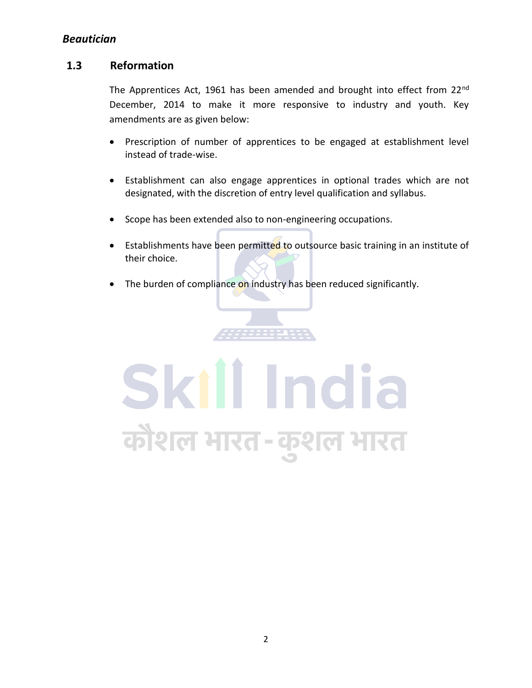#### **1.3 Reformation**

The Apprentices Act, 1961 has been amended and brought into effect from 22<sup>nd</sup> December, 2014 to make it more responsive to industry and youth. Key amendments are as given below:

- Prescription of number of apprentices to be engaged at establishment level instead of trade-wise.
- Establishment can also engage apprentices in optional trades which are not designated, with the discretion of entry level qualification and syllabus.
- Scope has been extended also to non-engineering occupations.
- Establishments have been permitted to outsource basic training in an institute of their choice.
- The burden of compliance on industry has been reduced significantly.

# Skill India कौशल भारत-कुशल भारत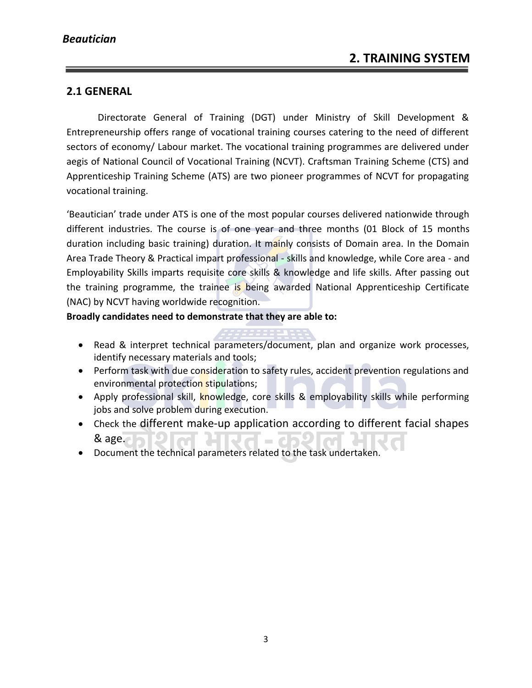#### **2.1 GENERAL**

Directorate General of Training (DGT) under Ministry of Skill Development & Entrepreneurship offers range of vocational training courses catering to the need of different sectors of economy/ Labour market. The vocational training programmes are delivered under aegis of National Council of Vocational Training (NCVT). Craftsman Training Scheme (CTS) and Apprenticeship Training Scheme (ATS) are two pioneer programmes of NCVT for propagating vocational training.

'Beautician' trade under ATS is one of the most popular courses delivered nationwide through different industries. The course is of one year and three months (01 Block of 15 months duration including basic training) duration. It mainly consists of Domain area. In the Domain Area Trade Theory & Practical impart professional - skills and knowledge, while Core area - and Employability Skills imparts requisite core skills & knowledge and life skills. After passing out the training programme, the trainee is being awarded National Apprenticeship Certificate (NAC) by NCVT having worldwide recognition.

**Broadly candidates need to demonstrate that they are able to:**

- Read & interpret technical parameters/document, plan and organize work processes, identify necessary materials and tools;
- Perform task with due consideration to safety rules, accident prevention regulations and environmental protection stipulations;
- Apply professional skill, knowledge, core skills & employability skills while performing jobs and solve problem during execution.
- Check the different make-up application according to different facial shapes एन  $&$  age.  $\Box$  $\blacksquare$
- Document the technical parameters related to the task undertaken.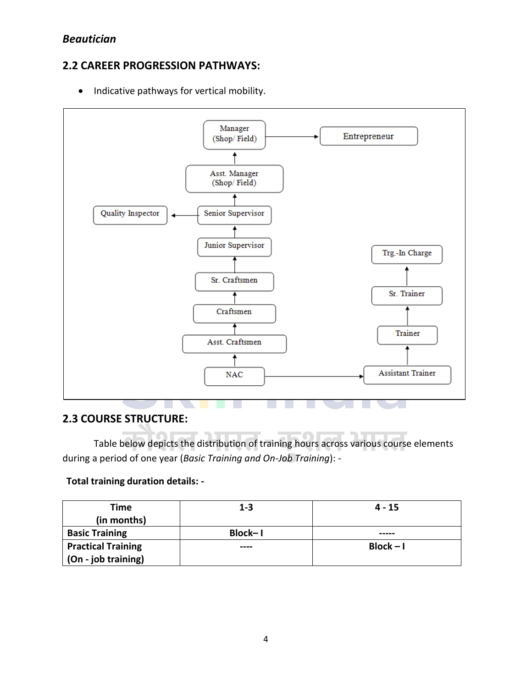#### **2.2 CAREER PROGRESSION PATHWAYS:**

• Indicative pathways for vertical mobility.



#### **2.3 COURSE STRUCTURE:**

Table below depicts the distribution of training hours across various course elements during a period of one year (*Basic Training and On-Job Training*): -

#### **Total training duration details: -**

| Time<br>(in months)       | $1 - 3$        | $4 - 15$    |
|---------------------------|----------------|-------------|
| <b>Basic Training</b>     | <b>Block-1</b> | -----       |
| <b>Practical Training</b> | ----           | $Block - I$ |
| (On - job training)       |                |             |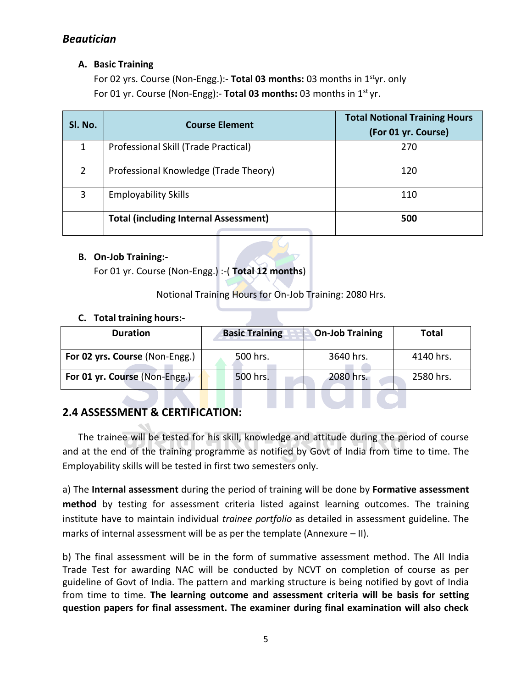#### **A. Basic Training**

For 02 yrs. Course (Non-Engg.):- **Total 03 months:** 03 months in 1styr. only For 01 yr. Course (Non-Engg):- **Total 03 months:** 03 months in 1st yr.

| Sl. No. | <b>Course Element</b>                        | <b>Total Notional Training Hours</b><br>(For 01 yr. Course) |
|---------|----------------------------------------------|-------------------------------------------------------------|
| 1       | Professional Skill (Trade Practical)         | 270                                                         |
| 2       | Professional Knowledge (Trade Theory)        | 120                                                         |
| 3       | <b>Employability Skills</b>                  | 110                                                         |
|         | <b>Total (including Internal Assessment)</b> | 500                                                         |

#### **B. On-Job Training:-**

For 01 yr. Course (Non-Engg.) :-( **Total 12 months**)

Notional Training Hours for On-Job Training: 2080 Hrs.

#### **C. Total training hours:-**

| <b>Duration</b>                | <b>Basic Training</b> | <b>On-Job Training</b> | <b>Total</b> |
|--------------------------------|-----------------------|------------------------|--------------|
| For 02 yrs. Course (Non-Engg.) | 500 hrs.              | 3640 hrs.              | 4140 hrs.    |
| For 01 yr. Course (Non-Engg.)  | 500 hrs.              | 2080 hrs.              | 2580 hrs.    |

#### **2.4 ASSESSMENT & CERTIFICATION:**

The trainee will be tested for his skill, knowledge and attitude during the period of course and at the end of the training programme as notified by Govt of India from time to time. The Employability skills will be tested in first two semesters only.

a) The **Internal assessment** during the period of training will be done by **Formative assessment method** by testing for assessment criteria listed against learning outcomes. The training institute have to maintain individual *trainee portfolio* as detailed in assessment guideline. The marks of internal assessment will be as per the template (Annexure – II).

b) The final assessment will be in the form of summative assessment method. The All India Trade Test for awarding NAC will be conducted by NCVT on completion of course as per guideline of Govt of India. The pattern and marking structure is being notified by govt of India from time to time. **The learning outcome and assessment criteria will be basis for setting question papers for final assessment. The examiner during final examination will also check**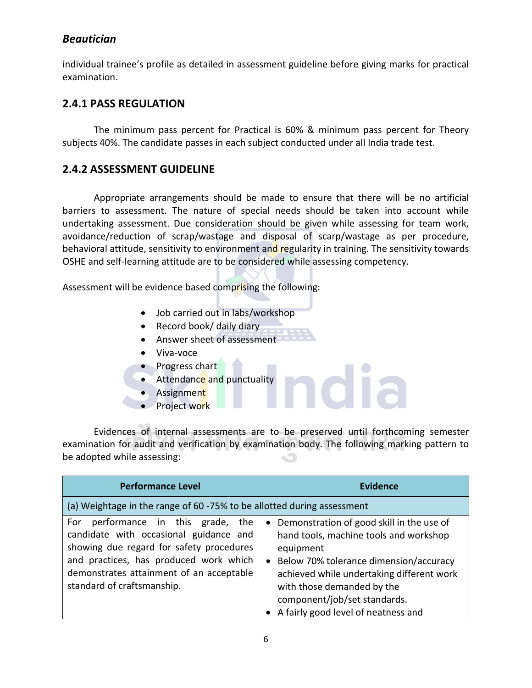individual trainee's profile as detailed in assessment guideline before giving marks for practical examination.

#### **2.4.1 PASS REGULATION**

The minimum pass percent for Practical is 60% & minimum pass percent for Theory subjects 40%. The candidate passes in each subject conducted under all India trade test.

#### **2.4.2 ASSESSMENT GUIDELINE**

Appropriate arrangements should be made to ensure that there will be no artificial barriers to assessment. The nature of special needs should be taken into account while undertaking assessment. Due consideration should be given while assessing for team work, avoidance/reduction of scrap/wastage and disposal of scarp/wastage as per procedure, behavioral attitude, sensitivity to environment and regularity in training. The sensitivity towards OSHE and self-learning attitude are to be considered while assessing competency.

Assessment will be evidence based comprising the following:

- Job carried out in labs/workshop
- Record book/ daily diary
- Answer sheet of assessment
- Viva-voce
- Progress chart
- Attendance and punctuality
- Assignment
- Project work

Evidences of internal assessments are to be preserved until forthcoming semester examination for audit and verification by examination body. The following marking pattern to be adopted while assessing:

| <b>Performance Level</b>                                                                                                                                                                                                                        | <b>Evidence</b>                                                                                                                                                                                                                                                                                                        |
|-------------------------------------------------------------------------------------------------------------------------------------------------------------------------------------------------------------------------------------------------|------------------------------------------------------------------------------------------------------------------------------------------------------------------------------------------------------------------------------------------------------------------------------------------------------------------------|
| (a) Weightage in the range of 60 -75% to be allotted during assessment                                                                                                                                                                          |                                                                                                                                                                                                                                                                                                                        |
| performance in this grade, the<br>For<br>candidate with occasional guidance and<br>showing due regard for safety procedures<br>and practices, has produced work which<br>demonstrates attainment of an acceptable<br>standard of craftsmanship. | Demonstration of good skill in the use of<br>$\bullet$<br>hand tools, machine tools and workshop<br>equipment<br>Below 70% tolerance dimension/accuracy<br>$\bullet$<br>achieved while undertaking different work<br>with those demanded by the<br>component/job/set standards.<br>A fairly good level of neatness and |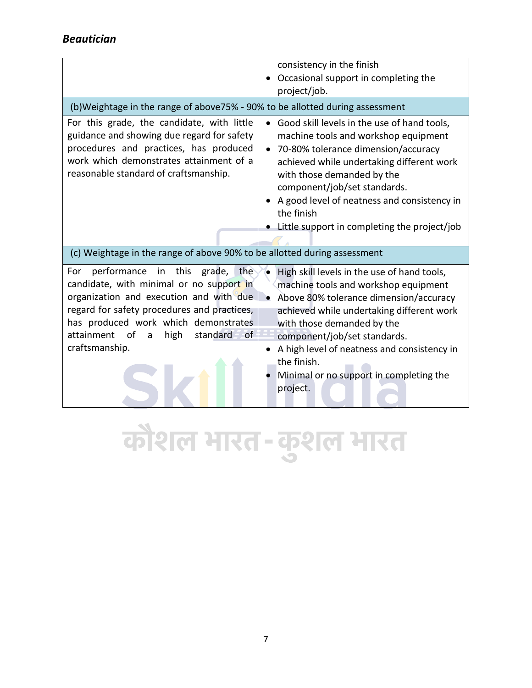|                                                                                                                                                                                                                                                                                                    | consistency in the finish<br>Occasional support in completing the<br>project/job.                                                                                                                                                                                                                                                                             |
|----------------------------------------------------------------------------------------------------------------------------------------------------------------------------------------------------------------------------------------------------------------------------------------------------|---------------------------------------------------------------------------------------------------------------------------------------------------------------------------------------------------------------------------------------------------------------------------------------------------------------------------------------------------------------|
| (b) Weightage in the range of above 75% - 90% to be allotted during assessment                                                                                                                                                                                                                     |                                                                                                                                                                                                                                                                                                                                                               |
| For this grade, the candidate, with little<br>guidance and showing due regard for safety<br>procedures and practices, has produced<br>work which demonstrates attainment of a<br>reasonable standard of craftsmanship.                                                                             | Good skill levels in the use of hand tools,<br>machine tools and workshop equipment<br>70-80% tolerance dimension/accuracy<br>achieved while undertaking different work<br>with those demanded by the<br>component/job/set standards.<br>A good level of neatness and consistency in<br>the finish<br>Little support in completing the project/job            |
| (c) Weightage in the range of above 90% to be allotted during assessment                                                                                                                                                                                                                           |                                                                                                                                                                                                                                                                                                                                                               |
| performance in this<br>grade, the<br>For<br>candidate, with minimal or no support in<br>organization and execution and with due<br>regard for safety procedures and practices,<br>has produced work which demonstrates<br>attainment<br>of<br>high<br>standard<br>$\circ$ f<br>a<br>craftsmanship. | High skill levels in the use of hand tools,<br>machine tools and workshop equipment<br>Above 80% tolerance dimension/accuracy<br>achieved while undertaking different work<br>with those demanded by the<br>component/job/set standards.<br>A high level of neatness and consistency in<br>the finish.<br>Minimal or no support in completing the<br>project. |

कौशल भारत-कुशल भारत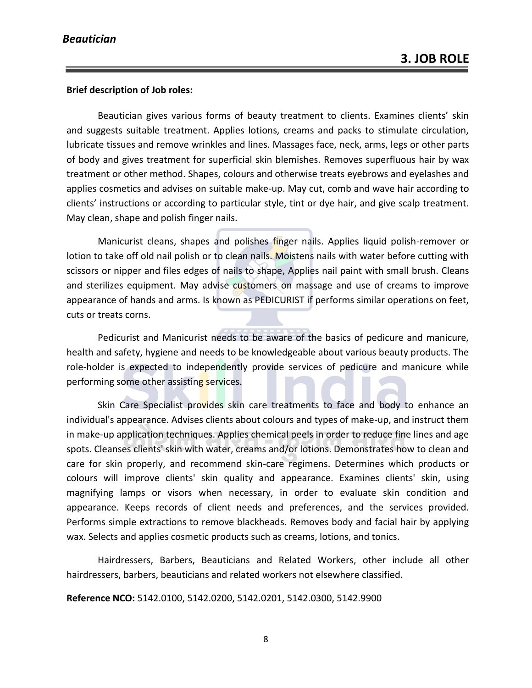#### **Brief description of Job roles:**

Beautician gives various forms of beauty treatment to clients. Examines clients' skin and suggests suitable treatment. Applies lotions, creams and packs to stimulate circulation, lubricate tissues and remove wrinkles and lines. Massages face, neck, arms, legs or other parts of body and gives treatment for superficial skin blemishes. Removes superfluous hair by wax treatment or other method. Shapes, colours and otherwise treats eyebrows and eyelashes and applies cosmetics and advises on suitable make-up. May cut, comb and wave hair according to clients' instructions or according to particular style, tint or dye hair, and give scalp treatment. May clean, shape and polish finger nails.

Manicurist cleans, shapes and polishes finger nails. Applies liquid polish-remover or lotion to take off old nail polish or to clean nails. Moistens nails with water before cutting with scissors or nipper and files edges of nails to shape, Applies nail paint with small brush. Cleans and sterilizes equipment. May advise customers on massage and use of creams to improve appearance of hands and arms. Is known as PEDICURIST if performs similar operations on feet, cuts or treats corns.

Pedicurist and Manicurist needs to be aware of the basics of pedicure and manicure, health and safety, hygiene and needs to be knowledgeable about various beauty products. The role-holder is expected to independently provide services of pedicure and manicure while performing some other assisting services.

Skin Care Specialist provides skin care treatments to face and body to enhance an individual's appearance. Advises clients about colours and types of make-up, and instruct them in make-up application techniques. Applies chemical peels in order to reduce fine lines and age spots. Cleanses clients' skin with water, creams and/or lotions. Demonstrates how to clean and care for skin properly, and recommend skin-care regimens. Determines which products or colours will improve clients' skin quality and appearance. Examines clients' skin, using magnifying lamps or visors when necessary, in order to evaluate skin condition and appearance. Keeps records of client needs and preferences, and the services provided. Performs simple extractions to remove blackheads. Removes body and facial hair by applying wax. Selects and applies cosmetic products such as creams, lotions, and tonics.

Hairdressers, Barbers, Beauticians and Related Workers, other include all other hairdressers, barbers, beauticians and related workers not elsewhere classified.

**Reference NCO:** 5142.0100, 5142.0200, 5142.0201, 5142.0300, 5142.9900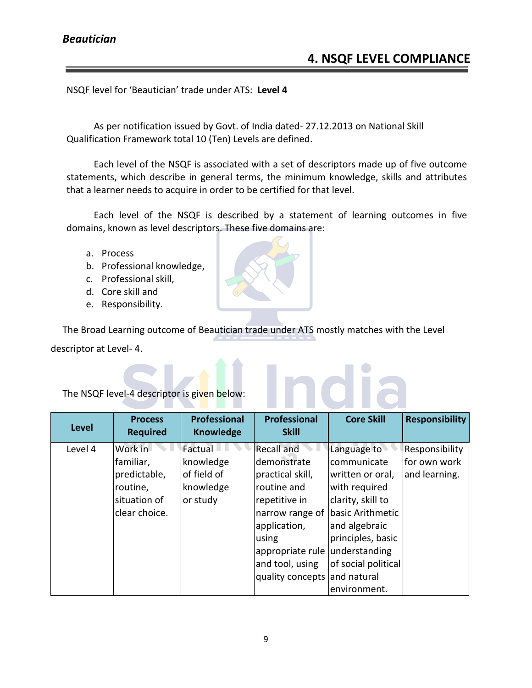ndia

NSQF level for 'Beautician' trade under ATS: **Level 4**

As per notification issued by Govt. of India dated- 27.12.2013 on National Skill Qualification Framework total 10 (Ten) Levels are defined.

Each level of the NSQF is associated with a set of descriptors made up of five outcome statements, which describe in general terms, the minimum knowledge, skills and attributes that a learner needs to acquire in order to be certified for that level.

Each level of the NSQF is described by a statement of learning outcomes in five domains, known as level descriptors. These five domains are:

- a. Process
- b. Professional knowledge,
- c. Professional skill,
- d. Core skill and
- e. Responsibility.

The Broad Learning outcome of Beautician trade under ATS mostly matches with the Level

descriptor at Level- 4.

The NSQF level-4 descriptor is given below:

| <b>Level</b> | <b>Process</b><br><b>Required</b> | <b>Professional</b><br><b>Knowledge</b> | <b>Professional</b><br><b>Skill</b> | <b>Core Skill</b>   | <b>Responsibility</b> |
|--------------|-----------------------------------|-----------------------------------------|-------------------------------------|---------------------|-----------------------|
| Level 4      | Work in                           | l Factual                               | <b>Recall and</b>                   | Language to         | Responsibility        |
|              | familiar,                         | knowledge                               | demonstrate                         | communicate         | for own work          |
|              | predictable,                      | of field of                             | practical skill,                    | written or oral,    | and learning.         |
|              | routine,                          | knowledge                               | routine and                         | with required       |                       |
|              | situation of                      | or study                                | repetitive in                       | clarity, skill to   |                       |
|              | clear choice.                     |                                         | narrow range of                     | lbasic Arithmetic   |                       |
|              |                                   |                                         | application,                        | and algebraic       |                       |
|              |                                   |                                         | using                               | principles, basic   |                       |
|              |                                   |                                         | appropriate rule understanding      |                     |                       |
|              |                                   |                                         | and tool, using                     | of social political |                       |
|              |                                   |                                         | quality concepts and natural        |                     |                       |
|              |                                   |                                         |                                     | environment.        |                       |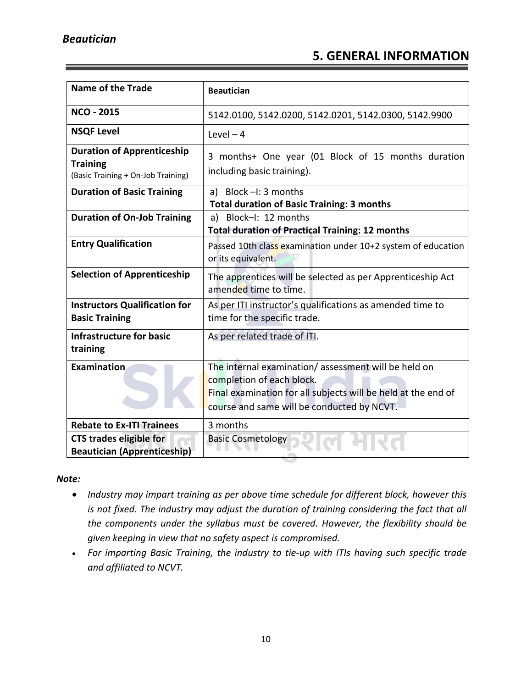### **5. GENERAL INFORMATION**

| <b>Name of the Trade</b>                                                                   | <b>Beautician</b>                                                                                                                                                                               |  |
|--------------------------------------------------------------------------------------------|-------------------------------------------------------------------------------------------------------------------------------------------------------------------------------------------------|--|
| <b>NCO - 2015</b>                                                                          | 5142.0100, 5142.0200, 5142.0201, 5142.0300, 5142.9900                                                                                                                                           |  |
| <b>NSQF Level</b>                                                                          | Level $-4$                                                                                                                                                                                      |  |
| <b>Duration of Apprenticeship</b><br><b>Training</b><br>(Basic Training + On-Job Training) | 3 months+ One year (01 Block of 15 months duration<br>including basic training).                                                                                                                |  |
| <b>Duration of Basic Training</b>                                                          | a) Block $-I: 3$ months<br><b>Total duration of Basic Training: 3 months</b>                                                                                                                    |  |
| <b>Duration of On-Job Training</b>                                                         | a) Block-I: 12 months<br><b>Total duration of Practical Training: 12 months</b>                                                                                                                 |  |
| <b>Entry Qualification</b>                                                                 | Passed 10th class examination under 10+2 system of education<br>or its equivalent.                                                                                                              |  |
| <b>Selection of Apprenticeship</b>                                                         | The apprentices will be selected as per Apprenticeship Act<br>amended time to time.                                                                                                             |  |
| <b>Instructors Qualification for</b><br><b>Basic Training</b>                              | As per ITI instructor's qualifications as amended time to<br>time for the specific trade.                                                                                                       |  |
| <b>Infrastructure for basic</b><br>training                                                | As per related trade of ITI.                                                                                                                                                                    |  |
| Examination                                                                                | The internal examination/assessment will be held on<br>completion of each block.<br>Final examination for all subjects will be held at the end of<br>course and same will be conducted by NCVT. |  |
| <b>Rebate to Ex-ITI Trainees</b>                                                           | 3 months                                                                                                                                                                                        |  |
| <b>CTS trades eligible for</b><br><b>Beautician (Apprenticeship)</b>                       | <b>Basic Cosmetology</b>                                                                                                                                                                        |  |

#### *Note:*

- *Industry may impart training as per above time schedule for different block, however this is not fixed. The industry may adjust the duration of training considering the fact that all the components under the syllabus must be covered. However, the flexibility should be given keeping in view that no safety aspect is compromised.*
- *For imparting Basic Training, the industry to tie-up with ITIs having such specific trade and affiliated to NCVT.*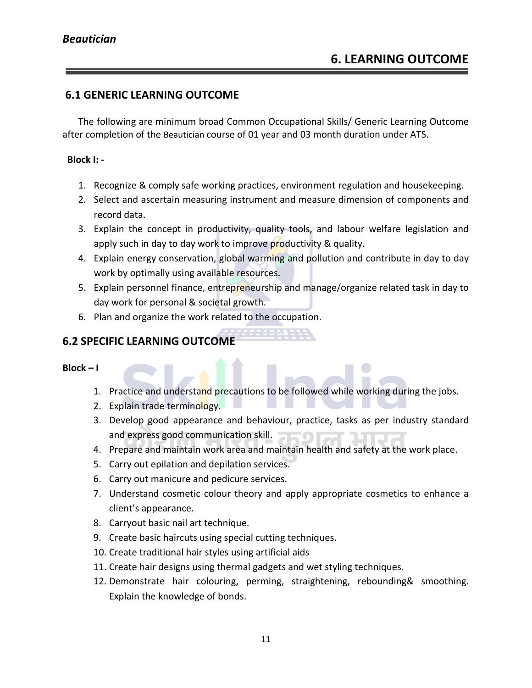#### **6.1 GENERIC LEARNING OUTCOME**

The following are minimum broad Common Occupational Skills/ Generic Learning Outcome after completion of the Beautician course of 01 year and 03 month duration under ATS.

#### **Block I: -**

- 1. Recognize & comply safe working practices, environment regulation and housekeeping.
- 2. Select and ascertain measuring instrument and measure dimension of components and record data.
- 3. Explain the concept in productivity, quality tools, and labour welfare legislation and apply such in day to day work to improve productivity & quality.
- 4. Explain energy conservation, global warming and pollution and contribute in day to day work by optimally using available resources.
- 5. Explain personnel finance, entrepreneurship and manage/organize related task in day to day work for personal & societal growth.
- 6. Plan and organize the work related to the occupation.

#### **6.2 SPECIFIC LEARNING OUTCOME**

**Block – I** 

1. Practice and understand precautions to be followed while working during the jobs.

a s

- 2. Explain trade terminology.
- 3. Develop good appearance and behaviour, practice, tasks as per industry standard and express good communication skill.
- 4. Prepare and maintain work area and maintain health and safety at the work place.
- 5. Carry out epilation and depilation services.
- 6. Carry out manicure and pedicure services.
- 7. Understand cosmetic colour theory and apply appropriate cosmetics to enhance a client's appearance.
- 8. Carryout basic nail art technique.
- 9. Create basic haircuts using special cutting techniques.
- 10. Create traditional hair styles using artificial aids
- 11. Create hair designs using thermal gadgets and wet styling techniques.
- 12. Demonstrate hair colouring, perming, straightening, rebounding& smoothing. Explain the knowledge of bonds.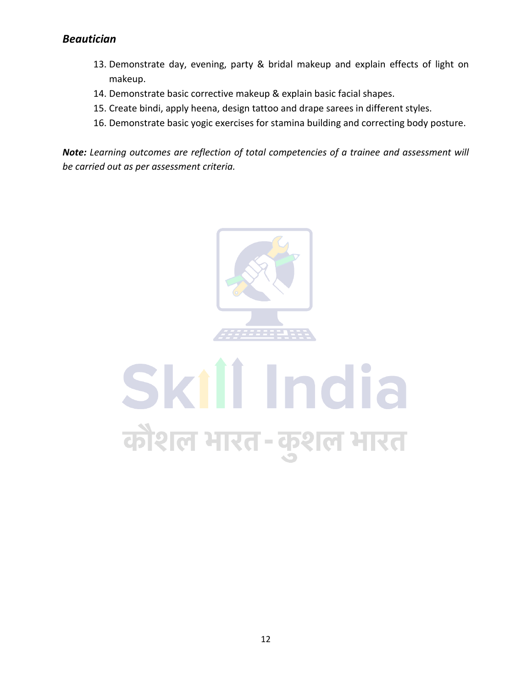- 13. Demonstrate day, evening, party & bridal makeup and explain effects of light on makeup.
- 14. Demonstrate basic corrective makeup & explain basic facial shapes.
- 15. Create bindi, apply heena, design tattoo and drape sarees in different styles.
- 16. Demonstrate basic yogic exercises for stamina building and correcting body posture.

*Note: Learning outcomes are reflection of total competencies of a trainee and assessment will be carried out as per assessment criteria.*



# Skill India कौशल भारत-कुशल भारत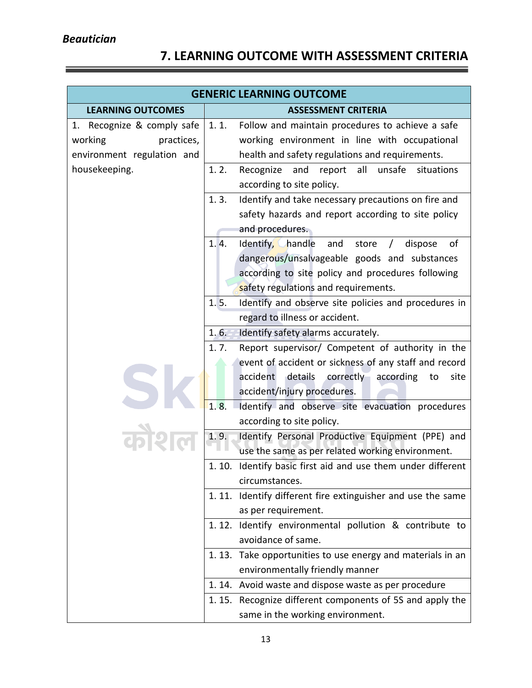## **7. LEARNING OUTCOME WITH ASSESSMENT CRITERIA**

|                            | <b>GENERIC LEARNING OUTCOME</b>                                                         |
|----------------------------|-----------------------------------------------------------------------------------------|
| <b>LEARNING OUTCOMES</b>   | <b>ASSESSMENT CRITERIA</b>                                                              |
| 1. Recognize & comply safe | 1.1.<br>Follow and maintain procedures to achieve a safe                                |
| working<br>practices,      | working environment in line with occupational                                           |
| environment regulation and | health and safety regulations and requirements.                                         |
| housekeeping.              | 1.2.<br>Recognize<br>and<br>all<br>unsafe<br>situations<br>report                       |
|                            | according to site policy.                                                               |
|                            | 1.3.<br>Identify and take necessary precautions on fire and                             |
|                            | safety hazards and report according to site policy                                      |
|                            | and procedures.                                                                         |
|                            | 1.4.<br>Identify, handle<br>οf<br>and<br>dispose<br>store                               |
|                            | dangerous/unsalvageable goods and substances                                            |
|                            | according to site policy and procedures following                                       |
|                            | safety regulations and requirements.                                                    |
|                            | 1.5.<br>Identify and observe site policies and procedures in                            |
|                            | regard to illness or accident.                                                          |
|                            | $1.6 -$<br>Identify safety alarms accurately.                                           |
|                            | Report supervisor/ Competent of authority in the<br>1.7.                                |
|                            | event of accident or sickness of any staff and record                                   |
|                            | details correctly according<br>accident<br>to<br>site                                   |
|                            | accident/injury procedures.                                                             |
|                            | 1.8.<br>Identify and observe site evacuation procedures                                 |
|                            | according to site policy.                                                               |
|                            | 1.9.<br>Identify Personal Productive Equipment (PPE) and                                |
|                            | use the same as per related working environment.                                        |
|                            | Identify basic first aid and use them under different<br>1.10.                          |
|                            | circumstances.                                                                          |
|                            | 1.11. Identify different fire extinguisher and use the same                             |
|                            | as per requirement.                                                                     |
|                            | 1.12. Identify environmental pollution & contribute to                                  |
|                            | avoidance of same.                                                                      |
|                            | 1.13. Take opportunities to use energy and materials in an                              |
|                            | environmentally friendly manner<br>1.14. Avoid waste and dispose waste as per procedure |
|                            |                                                                                         |
|                            | 1.15. Recognize different components of 5S and apply the                                |
|                            | same in the working environment.                                                        |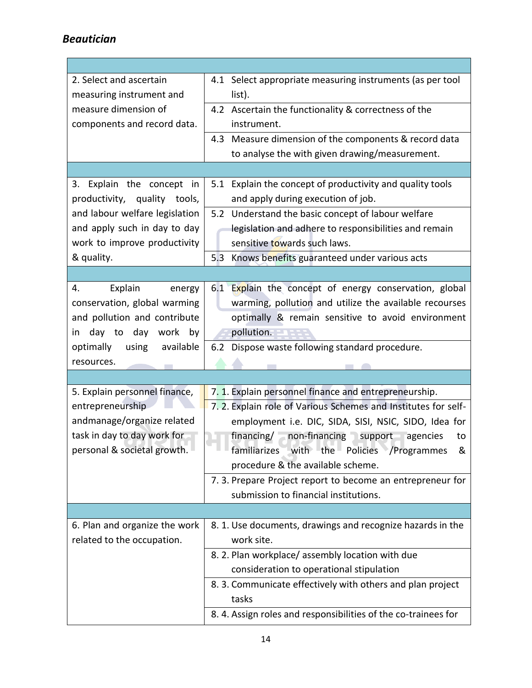Г

| 2. Select and ascertain<br>measuring instrument and                                                                                           | 4.1 Select appropriate measuring instruments (as per tool<br>list).                                                                                                                                                                                                                                                                                                                                                               |
|-----------------------------------------------------------------------------------------------------------------------------------------------|-----------------------------------------------------------------------------------------------------------------------------------------------------------------------------------------------------------------------------------------------------------------------------------------------------------------------------------------------------------------------------------------------------------------------------------|
| measure dimension of<br>components and record data.                                                                                           | 4.2 Ascertain the functionality & correctness of the<br>instrument.                                                                                                                                                                                                                                                                                                                                                               |
|                                                                                                                                               | 4.3 Measure dimension of the components & record data<br>to analyse the with given drawing/measurement.                                                                                                                                                                                                                                                                                                                           |
|                                                                                                                                               |                                                                                                                                                                                                                                                                                                                                                                                                                                   |
| 3. Explain the concept in<br>productivity, quality tools,                                                                                     | 5.1 Explain the concept of productivity and quality tools<br>and apply during execution of job.                                                                                                                                                                                                                                                                                                                                   |
| and labour welfare legislation<br>and apply such in day to day<br>work to improve productivity                                                | 5.2 Understand the basic concept of labour welfare<br>legislation and adhere to responsibilities and remain<br>sensitive towards such laws.                                                                                                                                                                                                                                                                                       |
| & quality.                                                                                                                                    | 5.3 Knows benefits guaranteed under various acts                                                                                                                                                                                                                                                                                                                                                                                  |
| 4.<br>Explain<br>energy<br>conservation, global warming<br>and pollution and contribute<br>day to day work by<br>in                           | 6.1 Explain the concept of energy conservation, global<br>warming, pollution and utilize the available recourses<br>optimally & remain sensitive to avoid environment<br>pollution.                                                                                                                                                                                                                                               |
| optimally<br>using<br>available<br>resources.                                                                                                 | 6.2 Dispose waste following standard procedure.                                                                                                                                                                                                                                                                                                                                                                                   |
|                                                                                                                                               |                                                                                                                                                                                                                                                                                                                                                                                                                                   |
| 5. Explain personnel finance,<br>entrepreneurship<br>andmanage/organize related<br>task in day to day work for<br>personal & societal growth. | 7. 1. Explain personnel finance and entrepreneurship.<br>7.2. Explain role of Various Schemes and Institutes for self-<br>employment i.e. DIC, SIDA, SISI, NSIC, SIDO, Idea for<br>financing/ non-financing support agencies<br>to<br>familiarizes with the Policies /Programmes<br>&<br>procedure & the available scheme.<br>7. 3. Prepare Project report to become an entrepreneur for<br>submission to financial institutions. |
|                                                                                                                                               |                                                                                                                                                                                                                                                                                                                                                                                                                                   |
| 6. Plan and organize the work<br>related to the occupation.                                                                                   | 8. 1. Use documents, drawings and recognize hazards in the<br>work site.<br>8. 2. Plan workplace/assembly location with due<br>consideration to operational stipulation                                                                                                                                                                                                                                                           |
|                                                                                                                                               | 8. 3. Communicate effectively with others and plan project<br>tasks<br>8. 4. Assign roles and responsibilities of the co-trainees for                                                                                                                                                                                                                                                                                             |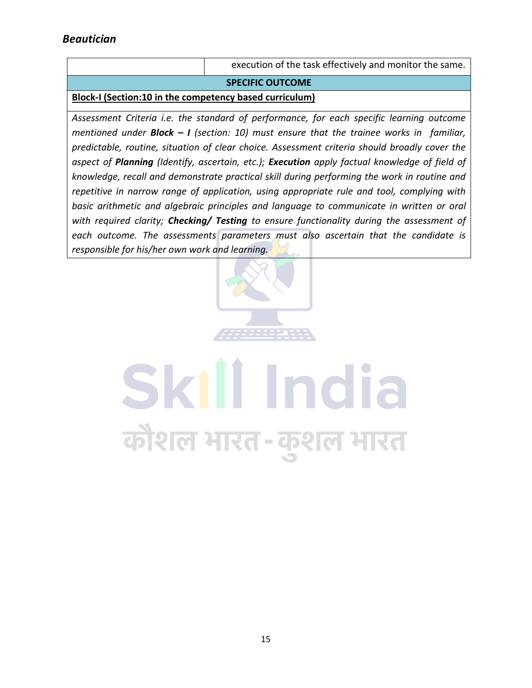execution of the task effectively and monitor the same.

#### **SPECIFIC OUTCOME**

**Block-I (Section:10 in the competency based curriculum)**

*Assessment Criteria i.e. the standard of performance, for each specific learning outcome mentioned under Block – I (section: 10) must ensure that the trainee works in familiar, predictable, routine, situation of clear choice. Assessment criteria should broadly cover the aspect of Planning (Identify, ascertain, etc.); Execution apply factual knowledge of field of knowledge, recall and demonstrate practical skill during performing the work in routine and repetitive in narrow range of application, using appropriate rule and tool, complying with basic arithmetic and algebraic principles and language to communicate in written or oral with required clarity; Checking/ Testing to ensure functionality during the assessment of each outcome. The assessments parameters must also ascertain that the candidate is responsible for his/her own work and learning.*



कौशल भारत-कुशल भारत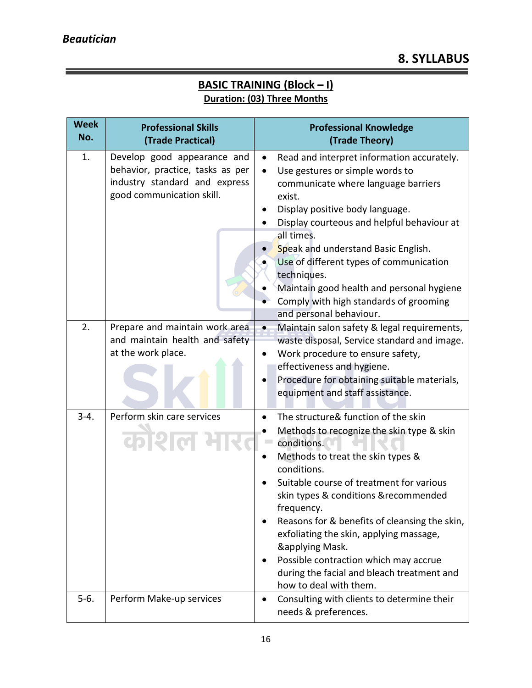Ξ

#### **BASIC TRAINING (Block – I) Duration: (03) Three Months**

| <b>Week</b><br>No. | <b>Professional Skills</b><br>(Trade Practical)                                                                               | <b>Professional Knowledge</b><br>(Trade Theory)                                                                                                                                                                                                                                                                                                                                                                                                                                                   |
|--------------------|-------------------------------------------------------------------------------------------------------------------------------|---------------------------------------------------------------------------------------------------------------------------------------------------------------------------------------------------------------------------------------------------------------------------------------------------------------------------------------------------------------------------------------------------------------------------------------------------------------------------------------------------|
| 1.                 | Develop good appearance and<br>behavior, practice, tasks as per<br>industry standard and express<br>good communication skill. | Read and interpret information accurately.<br>$\bullet$<br>Use gestures or simple words to<br>$\bullet$<br>communicate where language barriers<br>exist.<br>Display positive body language.<br>Display courteous and helpful behaviour at<br>all times.<br>Speak and understand Basic English.<br>Use of different types of communication<br>techniques.<br>Maintain good health and personal hygiene<br>Comply with high standards of grooming<br>and personal behaviour.                        |
| 2.                 | Prepare and maintain work area<br>and maintain health and safety<br>at the work place.                                        | Maintain salon safety & legal requirements,<br>$\bullet$<br>waste disposal, Service standard and image.<br>Work procedure to ensure safety,<br>$\bullet$<br>effectiveness and hygiene.<br>Procedure for obtaining suitable materials,<br>equipment and staff assistance.                                                                                                                                                                                                                          |
| $3 - 4.$           | Perform skin care services<br>कोशल                                                                                            | The structure& function of the skin<br>Methods to recognize the skin type & skin<br>conditions.<br>Methods to treat the skin types &<br>conditions.<br>Suitable course of treatment for various<br>skin types & conditions & recommended<br>frequency.<br>Reasons for & benefits of cleansing the skin,<br>exfoliating the skin, applying massage,<br><b>&amp;applying Mask.</b><br>Possible contraction which may accrue<br>during the facial and bleach treatment and<br>how to deal with them. |
| $5-6.$             | Perform Make-up services                                                                                                      | Consulting with clients to determine their<br>$\bullet$<br>needs & preferences.                                                                                                                                                                                                                                                                                                                                                                                                                   |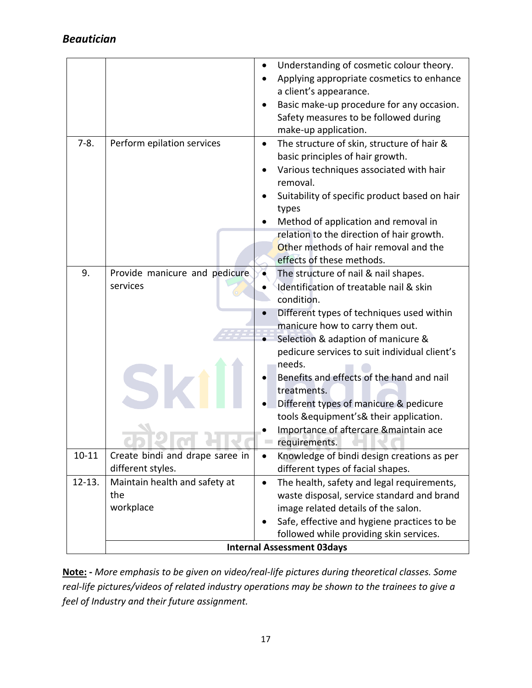|            |                                                      | effects of these methods.                                                                                                                                                                                                                                                                                                                                                                |
|------------|------------------------------------------------------|------------------------------------------------------------------------------------------------------------------------------------------------------------------------------------------------------------------------------------------------------------------------------------------------------------------------------------------------------------------------------------------|
| 9.         | Provide manicure and pedicure                        | Other methods of hair removal and the<br>The structure of nail & nail shapes.                                                                                                                                                                                                                                                                                                            |
|            | services                                             | Identification of treatable nail & skin<br>condition.                                                                                                                                                                                                                                                                                                                                    |
|            |                                                      | Different types of techniques used within<br>manicure how to carry them out.<br>Selection & adaption of manicure &<br>pedicure services to suit individual client's<br>needs.<br>Benefits and effects of the hand and nail<br>treatments.<br>Different types of manicure & pedicure<br>tools &equipment's& their application.<br>Importance of aftercare & maintain ace<br>requirements. |
| $10 - 11$  | Create bindi and drape saree in<br>different styles. | Knowledge of bindi design creations as per<br>٠<br>different types of facial shapes.                                                                                                                                                                                                                                                                                                     |
| $12 - 13.$ | Maintain health and safety at<br>the<br>workplace    | The health, safety and legal requirements,<br>$\bullet$<br>waste disposal, service standard and brand<br>image related details of the salon.<br>Safe, effective and hygiene practices to be<br>followed while providing skin services.<br><b>Internal Assessment 03days</b>                                                                                                              |

**Note: -** *More emphasis to be given on video/real-life pictures during theoretical classes. Some real-life pictures/videos of related industry operations may be shown to the trainees to give a feel of Industry and their future assignment.*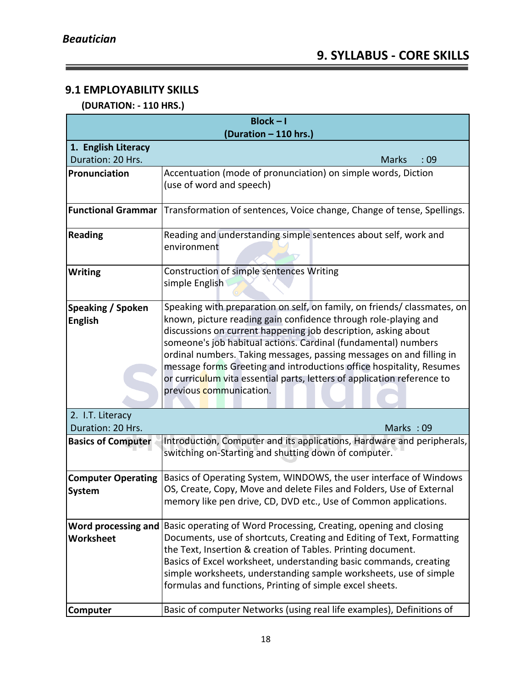Ξ

### **9.1 EMPLOYABILITY SKILLS**

<u> 1989 - Johann Barnett, fransk politiker (</u>

#### **(DURATION: - 110 HRS.)**

| $Block - I$               |                                                                                                                                              |  |  |  |  |  |  |  |  |
|---------------------------|----------------------------------------------------------------------------------------------------------------------------------------------|--|--|--|--|--|--|--|--|
| (Duration - 110 hrs.)     |                                                                                                                                              |  |  |  |  |  |  |  |  |
| 1. English Literacy       |                                                                                                                                              |  |  |  |  |  |  |  |  |
| Duration: 20 Hrs.         | <b>Marks</b><br>:09                                                                                                                          |  |  |  |  |  |  |  |  |
| Pronunciation             | Accentuation (mode of pronunciation) on simple words, Diction                                                                                |  |  |  |  |  |  |  |  |
|                           | (use of word and speech)                                                                                                                     |  |  |  |  |  |  |  |  |
|                           |                                                                                                                                              |  |  |  |  |  |  |  |  |
| <b>Functional Grammar</b> | Transformation of sentences, Voice change, Change of tense, Spellings.                                                                       |  |  |  |  |  |  |  |  |
| <b>Reading</b>            | Reading and understanding simple sentences about self, work and                                                                              |  |  |  |  |  |  |  |  |
|                           | environment                                                                                                                                  |  |  |  |  |  |  |  |  |
|                           |                                                                                                                                              |  |  |  |  |  |  |  |  |
| <b>Writing</b>            | Construction of simple sentences Writing                                                                                                     |  |  |  |  |  |  |  |  |
|                           | simple English                                                                                                                               |  |  |  |  |  |  |  |  |
|                           |                                                                                                                                              |  |  |  |  |  |  |  |  |
| <b>Speaking / Spoken</b>  | Speaking with preparation on self, on family, on friends/ classmates, on                                                                     |  |  |  |  |  |  |  |  |
| <b>English</b>            | known, picture reading gain confidence through role-playing and                                                                              |  |  |  |  |  |  |  |  |
|                           | discussions on current happening job description, asking about                                                                               |  |  |  |  |  |  |  |  |
|                           | someone's job habitual actions. Cardinal (fundamental) numbers                                                                               |  |  |  |  |  |  |  |  |
|                           | ordinal numbers. Taking messages, passing messages on and filling in<br>message forms Greeting and introductions office hospitality, Resumes |  |  |  |  |  |  |  |  |
|                           | or curriculum vita essential parts, letters of application reference to                                                                      |  |  |  |  |  |  |  |  |
| previous communication.   |                                                                                                                                              |  |  |  |  |  |  |  |  |
|                           |                                                                                                                                              |  |  |  |  |  |  |  |  |
| 2. I.T. Literacy          |                                                                                                                                              |  |  |  |  |  |  |  |  |
| Duration: 20 Hrs.         | Marks: 09                                                                                                                                    |  |  |  |  |  |  |  |  |
| <b>Basics of Computer</b> | Introduction, Computer and its applications, Hardware and peripherals,                                                                       |  |  |  |  |  |  |  |  |
|                           | switching on-Starting and shutting down of computer.                                                                                         |  |  |  |  |  |  |  |  |
|                           |                                                                                                                                              |  |  |  |  |  |  |  |  |
| <b>Computer Operating</b> | Basics of Operating System, WINDOWS, the user interface of Windows                                                                           |  |  |  |  |  |  |  |  |
| System                    | OS, Create, Copy, Move and delete Files and Folders, Use of External                                                                         |  |  |  |  |  |  |  |  |
|                           | memory like pen drive, CD, DVD etc., Use of Common applications.                                                                             |  |  |  |  |  |  |  |  |
|                           | Word processing and   Basic operating of Word Processing, Creating, opening and closing                                                      |  |  |  |  |  |  |  |  |
| Worksheet                 | Documents, use of shortcuts, Creating and Editing of Text, Formatting                                                                        |  |  |  |  |  |  |  |  |
|                           | the Text, Insertion & creation of Tables. Printing document.                                                                                 |  |  |  |  |  |  |  |  |
|                           | Basics of Excel worksheet, understanding basic commands, creating                                                                            |  |  |  |  |  |  |  |  |
|                           | simple worksheets, understanding sample worksheets, use of simple                                                                            |  |  |  |  |  |  |  |  |
|                           | formulas and functions, Printing of simple excel sheets.                                                                                     |  |  |  |  |  |  |  |  |
| Computer                  | Basic of computer Networks (using real life examples), Definitions of                                                                        |  |  |  |  |  |  |  |  |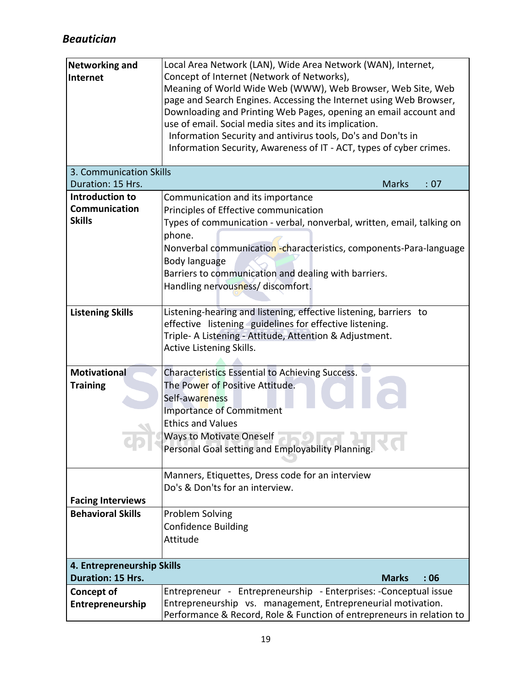| <b>Networking and</b><br>Internet | Local Area Network (LAN), Wide Area Network (WAN), Internet,<br>Concept of Internet (Network of Networks),<br>Meaning of World Wide Web (WWW), Web Browser, Web Site, Web<br>page and Search Engines. Accessing the Internet using Web Browser,<br>Downloading and Printing Web Pages, opening an email account and<br>use of email. Social media sites and its implication.<br>Information Security and antivirus tools, Do's and Don'ts in |  |  |  |  |  |  |
|-----------------------------------|----------------------------------------------------------------------------------------------------------------------------------------------------------------------------------------------------------------------------------------------------------------------------------------------------------------------------------------------------------------------------------------------------------------------------------------------|--|--|--|--|--|--|
|                                   | Information Security, Awareness of IT - ACT, types of cyber crimes.                                                                                                                                                                                                                                                                                                                                                                          |  |  |  |  |  |  |
| 3. Communication Skills           |                                                                                                                                                                                                                                                                                                                                                                                                                                              |  |  |  |  |  |  |
| Duration: 15 Hrs.                 | <b>Marks</b><br>: 07                                                                                                                                                                                                                                                                                                                                                                                                                         |  |  |  |  |  |  |
| Introduction to                   | Communication and its importance                                                                                                                                                                                                                                                                                                                                                                                                             |  |  |  |  |  |  |
| Communication                     | Principles of Effective communication                                                                                                                                                                                                                                                                                                                                                                                                        |  |  |  |  |  |  |
| <b>Skills</b>                     | Types of communication - verbal, nonverbal, written, email, talking on<br>phone.<br>Nonverbal communication -characteristics, components-Para-language<br>Body language<br>Barriers to communication and dealing with barriers.<br>Handling nervousness/ discomfort.                                                                                                                                                                         |  |  |  |  |  |  |
| <b>Listening Skills</b>           | Listening-hearing and listening, effective listening, barriers to<br>effective listening guidelines for effective listening.<br>Triple- A Listening - Attitude, Attention & Adjustment.<br><b>Active Listening Skills.</b>                                                                                                                                                                                                                   |  |  |  |  |  |  |
| <b>Motivational</b>               | Characteristics Essential to Achieving Success.                                                                                                                                                                                                                                                                                                                                                                                              |  |  |  |  |  |  |
| <b>Training</b>                   | The Pow <mark>er</mark> of Positive Attitude.                                                                                                                                                                                                                                                                                                                                                                                                |  |  |  |  |  |  |
|                                   | Self-awareness                                                                                                                                                                                                                                                                                                                                                                                                                               |  |  |  |  |  |  |
|                                   | <b>Importance of Commitment</b>                                                                                                                                                                                                                                                                                                                                                                                                              |  |  |  |  |  |  |
|                                   | <b>Ethics and Values</b>                                                                                                                                                                                                                                                                                                                                                                                                                     |  |  |  |  |  |  |
|                                   | <b>Ways to Motivate Oneself</b><br>Personal Goal setting and Employability Planning.                                                                                                                                                                                                                                                                                                                                                         |  |  |  |  |  |  |
|                                   | Manners, Etiquettes, Dress code for an interview                                                                                                                                                                                                                                                                                                                                                                                             |  |  |  |  |  |  |
|                                   | Do's & Don'ts for an interview.                                                                                                                                                                                                                                                                                                                                                                                                              |  |  |  |  |  |  |
| <b>Facing Interviews</b>          |                                                                                                                                                                                                                                                                                                                                                                                                                                              |  |  |  |  |  |  |
| <b>Behavioral Skills</b>          | Problem Solving                                                                                                                                                                                                                                                                                                                                                                                                                              |  |  |  |  |  |  |
|                                   | <b>Confidence Building</b>                                                                                                                                                                                                                                                                                                                                                                                                                   |  |  |  |  |  |  |
|                                   | Attitude                                                                                                                                                                                                                                                                                                                                                                                                                                     |  |  |  |  |  |  |
| 4. Entrepreneurship Skills        |                                                                                                                                                                                                                                                                                                                                                                                                                                              |  |  |  |  |  |  |
| <b>Duration: 15 Hrs.</b>          | <b>Marks</b><br>:06                                                                                                                                                                                                                                                                                                                                                                                                                          |  |  |  |  |  |  |
| Concept of                        | Entrepreneur - Entrepreneurship - Enterprises: -Conceptual issue                                                                                                                                                                                                                                                                                                                                                                             |  |  |  |  |  |  |
| Entrepreneurship                  | Entrepreneurship vs. management, Entrepreneurial motivation.                                                                                                                                                                                                                                                                                                                                                                                 |  |  |  |  |  |  |
|                                   | Performance & Record, Role & Function of entrepreneurs in relation to                                                                                                                                                                                                                                                                                                                                                                        |  |  |  |  |  |  |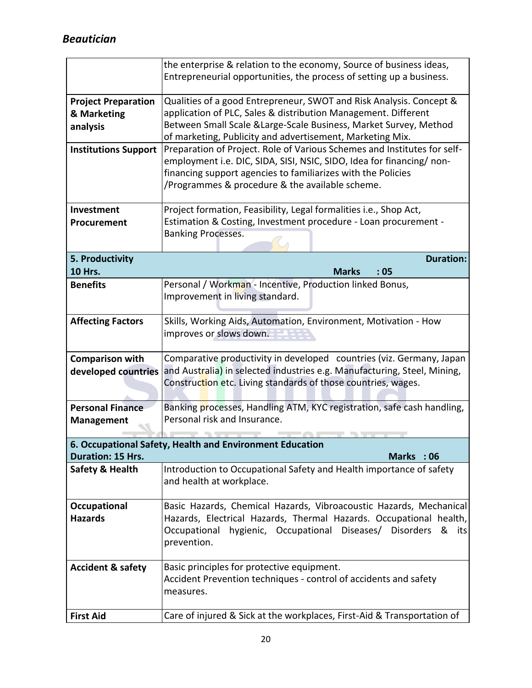|                              | the enterprise & relation to the economy, Source of business ideas,<br>Entrepreneurial opportunities, the process of setting up a business. |  |  |  |  |  |  |  |
|------------------------------|---------------------------------------------------------------------------------------------------------------------------------------------|--|--|--|--|--|--|--|
| <b>Project Preparation</b>   | Qualities of a good Entrepreneur, SWOT and Risk Analysis. Concept &                                                                         |  |  |  |  |  |  |  |
| & Marketing                  | application of PLC, Sales & distribution Management. Different                                                                              |  |  |  |  |  |  |  |
|                              | Between Small Scale & Large-Scale Business, Market Survey, Method                                                                           |  |  |  |  |  |  |  |
| analysis                     | of marketing, Publicity and advertisement, Marketing Mix.                                                                                   |  |  |  |  |  |  |  |
| <b>Institutions Support</b>  | Preparation of Project. Role of Various Schemes and Institutes for self-                                                                    |  |  |  |  |  |  |  |
|                              | employment i.e. DIC, SIDA, SISI, NSIC, SIDO, Idea for financing/ non-                                                                       |  |  |  |  |  |  |  |
|                              | financing support agencies to familiarizes with the Policies                                                                                |  |  |  |  |  |  |  |
|                              | /Programmes & procedure & the available scheme.                                                                                             |  |  |  |  |  |  |  |
|                              |                                                                                                                                             |  |  |  |  |  |  |  |
| Investment                   | Project formation, Feasibility, Legal formalities i.e., Shop Act,                                                                           |  |  |  |  |  |  |  |
| Procurement                  | Estimation & Costing, Investment procedure - Loan procurement -                                                                             |  |  |  |  |  |  |  |
|                              | <b>Banking Processes.</b>                                                                                                                   |  |  |  |  |  |  |  |
|                              |                                                                                                                                             |  |  |  |  |  |  |  |
| 5. Productivity              | <b>Duration:</b>                                                                                                                            |  |  |  |  |  |  |  |
| <b>10 Hrs.</b>               | <b>Marks</b><br>:05                                                                                                                         |  |  |  |  |  |  |  |
| <b>Benefits</b>              | Personal / Workman - Incentive, Production linked Bonus,                                                                                    |  |  |  |  |  |  |  |
|                              | Improvement in living standard.                                                                                                             |  |  |  |  |  |  |  |
|                              |                                                                                                                                             |  |  |  |  |  |  |  |
| <b>Affecting Factors</b>     | Skills, Working Aids, Automation, Environment, Motivation - How                                                                             |  |  |  |  |  |  |  |
|                              | improves or slows down.                                                                                                                     |  |  |  |  |  |  |  |
|                              |                                                                                                                                             |  |  |  |  |  |  |  |
| <b>Comparison with</b>       | Comparative productivity in developed countries (viz. Germany, Japan                                                                        |  |  |  |  |  |  |  |
| developed countries          | and Australia) in selected industries e.g. Manufacturing, Steel, Mining,                                                                    |  |  |  |  |  |  |  |
|                              | Construction etc. Living standards of those countries, wages.                                                                               |  |  |  |  |  |  |  |
|                              |                                                                                                                                             |  |  |  |  |  |  |  |
| <b>Personal Finance</b>      | Banking processes, Handling ATM, KYC registration, safe cash handling,                                                                      |  |  |  |  |  |  |  |
| <b>Management</b>            | Personal risk and Insurance.                                                                                                                |  |  |  |  |  |  |  |
|                              |                                                                                                                                             |  |  |  |  |  |  |  |
| Duration: 15 Hrs.            | 6. Occupational Safety, Health and Environment Education<br>Marks : 06                                                                      |  |  |  |  |  |  |  |
|                              |                                                                                                                                             |  |  |  |  |  |  |  |
| <b>Safety &amp; Health</b>   | Introduction to Occupational Safety and Health importance of safety                                                                         |  |  |  |  |  |  |  |
|                              | and health at workplace.                                                                                                                    |  |  |  |  |  |  |  |
| Occupational                 | Basic Hazards, Chemical Hazards, Vibroacoustic Hazards, Mechanical                                                                          |  |  |  |  |  |  |  |
| <b>Hazards</b>               | Hazards, Electrical Hazards, Thermal Hazards. Occupational health,                                                                          |  |  |  |  |  |  |  |
|                              | hygienic, Occupational Diseases/ Disorders & its<br>Occupational                                                                            |  |  |  |  |  |  |  |
|                              | prevention.                                                                                                                                 |  |  |  |  |  |  |  |
|                              |                                                                                                                                             |  |  |  |  |  |  |  |
| <b>Accident &amp; safety</b> | Basic principles for protective equipment.                                                                                                  |  |  |  |  |  |  |  |
|                              | Accident Prevention techniques - control of accidents and safety                                                                            |  |  |  |  |  |  |  |
|                              | measures.                                                                                                                                   |  |  |  |  |  |  |  |
|                              |                                                                                                                                             |  |  |  |  |  |  |  |
| <b>First Aid</b>             | Care of injured & Sick at the workplaces, First-Aid & Transportation of                                                                     |  |  |  |  |  |  |  |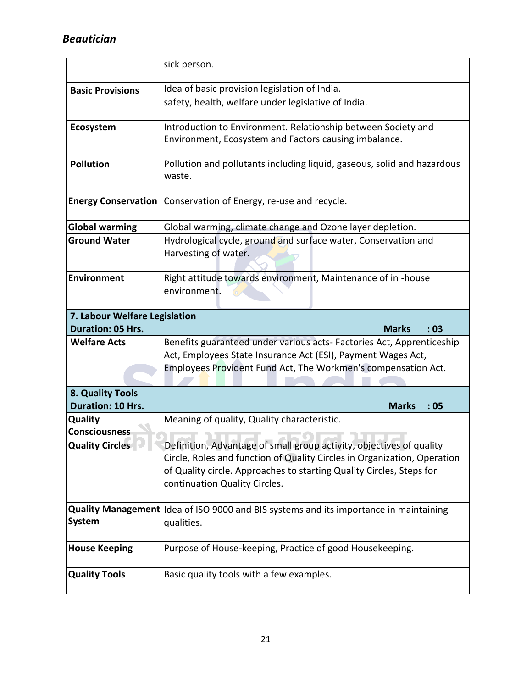|                                                           | sick person.                                                                                                                                                                                                                                              |  |  |  |  |  |  |
|-----------------------------------------------------------|-----------------------------------------------------------------------------------------------------------------------------------------------------------------------------------------------------------------------------------------------------------|--|--|--|--|--|--|
| <b>Basic Provisions</b>                                   | Idea of basic provision legislation of India.                                                                                                                                                                                                             |  |  |  |  |  |  |
|                                                           | safety, health, welfare under legislative of India.                                                                                                                                                                                                       |  |  |  |  |  |  |
| Ecosystem                                                 | Introduction to Environment. Relationship between Society and<br>Environment, Ecosystem and Factors causing imbalance.                                                                                                                                    |  |  |  |  |  |  |
| <b>Pollution</b>                                          | Pollution and pollutants including liquid, gaseous, solid and hazardous<br>waste.                                                                                                                                                                         |  |  |  |  |  |  |
| <b>Energy Conservation</b>                                | Conservation of Energy, re-use and recycle.                                                                                                                                                                                                               |  |  |  |  |  |  |
| <b>Global warming</b>                                     | Global warming, climate change and Ozone layer depletion.                                                                                                                                                                                                 |  |  |  |  |  |  |
| <b>Ground Water</b>                                       | Hydrological cycle, ground and surface water, Conservation and<br>Harvesting of water.                                                                                                                                                                    |  |  |  |  |  |  |
| Environment                                               | Right attitude towards environment, Maintenance of in -house<br>environment.                                                                                                                                                                              |  |  |  |  |  |  |
| 7. Labour Welfare Legislation<br><b>Duration: 05 Hrs.</b> | <b>Marks</b><br>:03                                                                                                                                                                                                                                       |  |  |  |  |  |  |
| <b>Welfare Acts</b>                                       | Benefits guaranteed under various acts- Factories Act, Apprenticeship                                                                                                                                                                                     |  |  |  |  |  |  |
|                                                           | Act, Employees State Insurance Act (ESI), Payment Wages Act,                                                                                                                                                                                              |  |  |  |  |  |  |
|                                                           | Employees Provident Fund Act, The Workmen's compensation Act.                                                                                                                                                                                             |  |  |  |  |  |  |
| 8. Quality Tools                                          |                                                                                                                                                                                                                                                           |  |  |  |  |  |  |
| <b>Duration: 10 Hrs.</b>                                  | <b>Marks</b><br>:05                                                                                                                                                                                                                                       |  |  |  |  |  |  |
| <b>Quality</b>                                            | Meaning of quality, Quality characteristic.                                                                                                                                                                                                               |  |  |  |  |  |  |
| <b>Consciousness</b>                                      |                                                                                                                                                                                                                                                           |  |  |  |  |  |  |
| Quality Circles                                           | Definition, Advantage of small group activity, objectives of quality<br>Circle, Roles and function of Quality Circles in Organization, Operation<br>of Quality circle. Approaches to starting Quality Circles, Steps for<br>continuation Quality Circles. |  |  |  |  |  |  |
| <b>System</b>                                             | Quality Management Idea of ISO 9000 and BIS systems and its importance in maintaining<br>qualities.                                                                                                                                                       |  |  |  |  |  |  |
| <b>House Keeping</b>                                      | Purpose of House-keeping, Practice of good Housekeeping.                                                                                                                                                                                                  |  |  |  |  |  |  |
| <b>Quality Tools</b>                                      | Basic quality tools with a few examples.                                                                                                                                                                                                                  |  |  |  |  |  |  |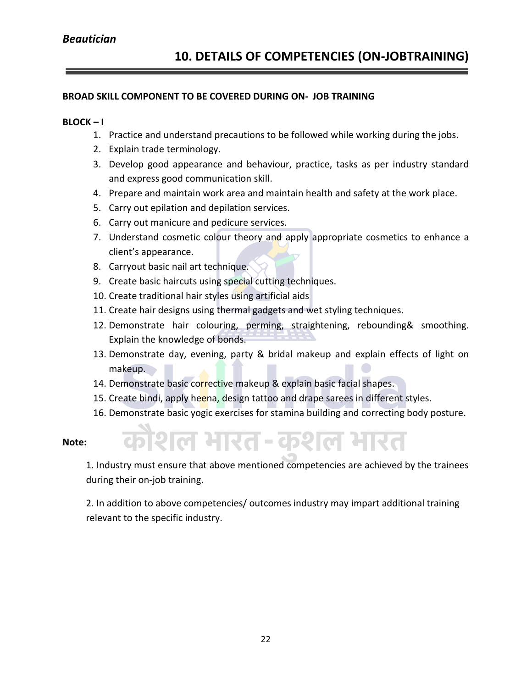#### **BROAD SKILL COMPONENT TO BE COVERED DURING ON- JOB TRAINING**

#### **BLOCK – I**

- 1. Practice and understand precautions to be followed while working during the jobs.
- 2. Explain trade terminology.
- 3. Develop good appearance and behaviour, practice, tasks as per industry standard and express good communication skill.
- 4. Prepare and maintain work area and maintain health and safety at the work place.
- 5. Carry out epilation and depilation services.
- 6. Carry out manicure and pedicure services.
- 7. Understand cosmetic colour theory and apply appropriate cosmetics to enhance a client's appearance.
- 8. Carryout basic nail art technique.
- 9. Create basic haircuts using special cutting techniques.
- 10. Create traditional hair styles using artificial aids
- 11. Create hair designs using thermal gadgets and wet styling techniques.
- 12. Demonstrate hair colouring, perming, straightening, rebounding& smoothing. Explain the knowledge of bonds.
- 13. Demonstrate day, evening, party & bridal makeup and explain effects of light on makeup.
- 14. Demonstrate basic corrective makeup & explain basic facial shapes.
- 15. Create bindi, apply heena, design tattoo and drape sarees in different styles.
- 16. Demonstrate basic yogic exercises for stamina building and correcting body posture.
- **Note:**

शिल भारत-कशल भारत

1. Industry must ensure that above mentioned competencies are achieved by the trainees during their on-job training.

2. In addition to above competencies/ outcomes industry may impart additional training relevant to the specific industry.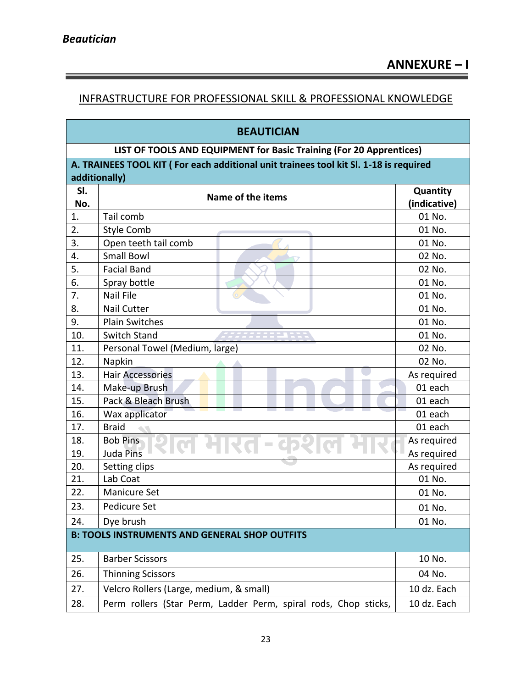#### INFRASTRUCTURE FOR PROFESSIONAL SKILL & PROFESSIONAL KNOWLEDGE

<u> 1989 - Johann Stoff, deutscher Stoffen und der Stoffen und der Stoffen und der Stoffen und der Stoffen und de</u>

| <b>BEAUTICIAN</b>                                                                     |                                                                 |              |  |  |  |  |  |  |
|---------------------------------------------------------------------------------------|-----------------------------------------------------------------|--------------|--|--|--|--|--|--|
| LIST OF TOOLS AND EQUIPMENT for Basic Training (For 20 Apprentices)                   |                                                                 |              |  |  |  |  |  |  |
| A. TRAINEES TOOL KIT (For each additional unit trainees tool kit Sl. 1-18 is required |                                                                 |              |  |  |  |  |  |  |
| additionally)                                                                         |                                                                 |              |  |  |  |  |  |  |
| SI.                                                                                   | Name of the items                                               | Quantity     |  |  |  |  |  |  |
| No.                                                                                   |                                                                 | (indicative) |  |  |  |  |  |  |
| 1.                                                                                    | Tail comb                                                       | 01 No.       |  |  |  |  |  |  |
| 2.                                                                                    | <b>Style Comb</b>                                               | 01 No.       |  |  |  |  |  |  |
| 3.                                                                                    | Open teeth tail comb                                            | 01 No.       |  |  |  |  |  |  |
| 4.                                                                                    | <b>Small Bowl</b>                                               | 02 No.       |  |  |  |  |  |  |
| 5.                                                                                    | <b>Facial Band</b>                                              | 02 No.       |  |  |  |  |  |  |
| 6.                                                                                    | Spray bottle                                                    | 01 No.       |  |  |  |  |  |  |
| 7.                                                                                    | <b>Nail File</b>                                                | 01 No.       |  |  |  |  |  |  |
| 8.                                                                                    | <b>Nail Cutter</b>                                              | 01 No.       |  |  |  |  |  |  |
| 9.                                                                                    | <b>Plain Switches</b>                                           | 01 No.       |  |  |  |  |  |  |
| 10.                                                                                   | Switch Stand                                                    | 01 No.       |  |  |  |  |  |  |
| 11.                                                                                   | Personal Towel (Medium, large)                                  | 02 No.       |  |  |  |  |  |  |
| 12.                                                                                   | Napkin                                                          | 02 No.       |  |  |  |  |  |  |
| 13.                                                                                   | <b>Hair Accessories</b>                                         | As required  |  |  |  |  |  |  |
| 14.                                                                                   | Make-up Brush                                                   | 01 each      |  |  |  |  |  |  |
| 15.                                                                                   | Pack & Bleach Brush                                             | 01 each      |  |  |  |  |  |  |
| 16.                                                                                   | Wax applicator                                                  | 01 each      |  |  |  |  |  |  |
| 17.                                                                                   | <b>Braid</b>                                                    | 01 each      |  |  |  |  |  |  |
| 18.                                                                                   | <b>Bob Pins</b>                                                 | As required  |  |  |  |  |  |  |
| 19.                                                                                   | <b>Juda Pins</b>                                                | As required  |  |  |  |  |  |  |
| 20.                                                                                   | Setting clips                                                   | As required  |  |  |  |  |  |  |
| 21.                                                                                   | Lab Coat                                                        | 01 No.       |  |  |  |  |  |  |
| 22.                                                                                   | Manicure Set                                                    | 01 No.       |  |  |  |  |  |  |
| 23.                                                                                   | Pedicure Set                                                    | 01 No.       |  |  |  |  |  |  |
| 24.                                                                                   | Dye brush                                                       | 01 No.       |  |  |  |  |  |  |
| <b>B: TOOLS INSTRUMENTS AND GENERAL SHOP OUTFITS</b>                                  |                                                                 |              |  |  |  |  |  |  |
| 25.                                                                                   | <b>Barber Scissors</b>                                          | 10 No.       |  |  |  |  |  |  |
| 26.                                                                                   | <b>Thinning Scissors</b>                                        | 04 No.       |  |  |  |  |  |  |
| 27.                                                                                   | Velcro Rollers (Large, medium, & small)                         | 10 dz. Each  |  |  |  |  |  |  |
| 28.                                                                                   | Perm rollers (Star Perm, Ladder Perm, spiral rods, Chop sticks, | 10 dz. Each  |  |  |  |  |  |  |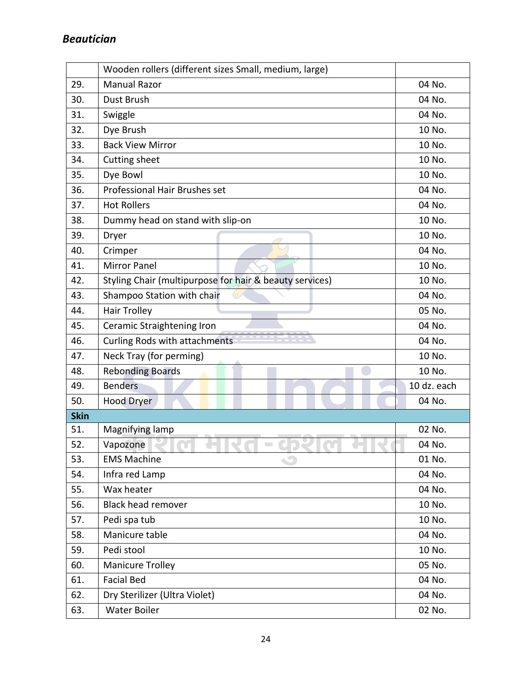|             | Wooden rollers (different sizes Small, medium, large)   |             |  |  |
|-------------|---------------------------------------------------------|-------------|--|--|
| 29.         | <b>Manual Razor</b>                                     | 04 No.      |  |  |
| 30.         | Dust Brush                                              | 04 No.      |  |  |
| 31.         | Swiggle                                                 | 04 No.      |  |  |
| 32.         | Dye Brush                                               | 10 No.      |  |  |
| 33.         | <b>Back View Mirror</b>                                 | 10 No.      |  |  |
| 34.         | Cutting sheet                                           | 10 No.      |  |  |
| 35.         | Dye Bowl                                                | 10 No.      |  |  |
| 36.         | Professional Hair Brushes set                           | 04 No.      |  |  |
| 37.         | <b>Hot Rollers</b>                                      | 04 No.      |  |  |
| 38.         | Dummy head on stand with slip-on                        | 10 No.      |  |  |
| 39.         | Dryer                                                   | 10 No.      |  |  |
| 40.         | Crimper                                                 | 04 No.      |  |  |
| 41.         | <b>Mirror Panel</b>                                     | 10 No.      |  |  |
| 42.         | Styling Chair (multipurpose for hair & beauty services) | 10 No.      |  |  |
| 43.         | Shampoo Station with chair                              | 04 No.      |  |  |
| 44.         | <b>Hair Trolley</b>                                     | 05 No.      |  |  |
| 45.         | Ceramic Straightening Iron                              | 04 No.      |  |  |
| 46.         | Curling Rods with attachments                           | 04 No.      |  |  |
| 47.         | Neck Tray (for perming)                                 | 10 No.      |  |  |
| 48.         | <b>Rebonding Boards</b>                                 | 10 No.      |  |  |
| 49.         | <b>Benders</b>                                          | 10 dz. each |  |  |
| 50.         | <b>Hood Dryer</b>                                       | 04 No.      |  |  |
| <b>Skin</b> |                                                         |             |  |  |
| 51.         | Magnifying lamp                                         | 02 No.      |  |  |
| 52.         | Vapozone                                                | 04 No.      |  |  |
| 53.         | <b>EMS Machine</b>                                      | 01 No.      |  |  |
| 54.         | Infra red Lamp                                          | 04 No.      |  |  |
| 55.         | Wax heater                                              | 04 No.      |  |  |
| 56.         | <b>Black head remover</b>                               | 10 No.      |  |  |
| 57.         | Pedi spa tub                                            | 10 No.      |  |  |
| 58.         | Manicure table                                          | 04 No.      |  |  |
| 59.         | Pedi stool                                              | 10 No.      |  |  |
| 60.         | <b>Manicure Trolley</b>                                 | 05 No.      |  |  |
| 61.         | <b>Facial Bed</b>                                       | 04 No.      |  |  |
| 62.         | Dry Sterilizer (Ultra Violet)                           | 04 No.      |  |  |
| 63.         | <b>Water Boiler</b>                                     | 02 No.      |  |  |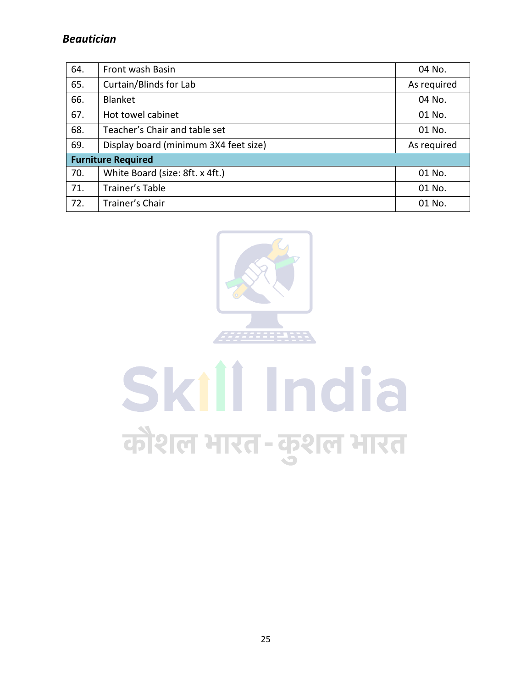| 64. | Front wash Basin                      | 04 No.      |  |  |  |  |  |  |
|-----|---------------------------------------|-------------|--|--|--|--|--|--|
| 65. | Curtain/Blinds for Lab                | As required |  |  |  |  |  |  |
| 66. | Blanket                               | 04 No.      |  |  |  |  |  |  |
| 67. | Hot towel cabinet                     | 01 No.      |  |  |  |  |  |  |
| 68. | Teacher's Chair and table set         | 01 No.      |  |  |  |  |  |  |
| 69. | Display board (minimum 3X4 feet size) | As required |  |  |  |  |  |  |
|     | <b>Furniture Required</b>             |             |  |  |  |  |  |  |
| 70. | White Board (size: 8ft. x 4ft.)       | 01 No.      |  |  |  |  |  |  |
| 71. | Trainer's Table                       | 01 No.      |  |  |  |  |  |  |
| 72. | Trainer's Chair                       | 01 No.      |  |  |  |  |  |  |



# Skill India कौशल भारत-कुशल भारत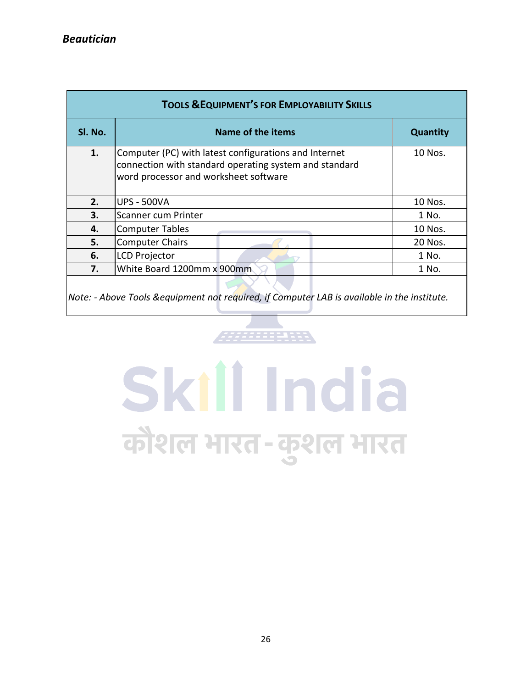| <b>TOOLS &amp; EQUIPMENT'S FOR EMPLOYABILITY SKILLS</b> |                                                                                                                                                          |                 |  |  |  |  |  |  |  |
|---------------------------------------------------------|----------------------------------------------------------------------------------------------------------------------------------------------------------|-----------------|--|--|--|--|--|--|--|
| SI. No.                                                 | Name of the items                                                                                                                                        | <b>Quantity</b> |  |  |  |  |  |  |  |
| 1.                                                      | Computer (PC) with latest configurations and Internet<br>connection with standard operating system and standard<br>word processor and worksheet software | $10$ Nos.       |  |  |  |  |  |  |  |
| 2.                                                      | <b>UPS - 500VA</b>                                                                                                                                       | 10 Nos.         |  |  |  |  |  |  |  |
| 3.                                                      | Scanner cum Printer                                                                                                                                      | 1 No.           |  |  |  |  |  |  |  |
| 4.                                                      | <b>Computer Tables</b>                                                                                                                                   | 10 Nos.         |  |  |  |  |  |  |  |
| 5.                                                      | <b>Computer Chairs</b>                                                                                                                                   | 20 Nos.         |  |  |  |  |  |  |  |
| 6.                                                      | <b>LCD Projector</b>                                                                                                                                     | 1 No.           |  |  |  |  |  |  |  |
| 7.                                                      | White Board 1200mm x 900mm                                                                                                                               | 1 No.           |  |  |  |  |  |  |  |
|                                                         |                                                                                                                                                          |                 |  |  |  |  |  |  |  |

*Note: - Above Tools &equipment not required, if Computer LAB is available in the institute.*

# Skill India कौशल भारत-कुशल भारत